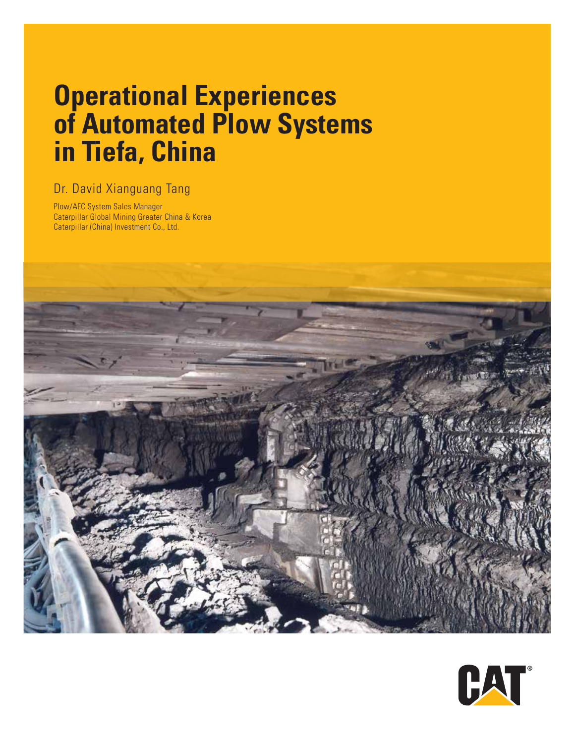# **Operational Experiences of Automated Plow Systems in Tiefa, China**

### Dr. David Xianguang Tang

Plow/AFC System Sales Manager Caterpillar Global Mining Greater China & Korea Caterpillar (China) Investment Co., Ltd.



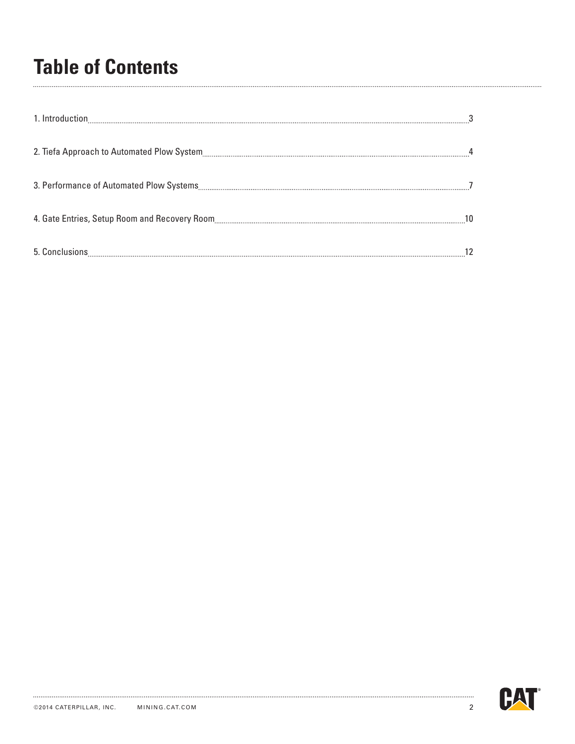# **Table of Contents**

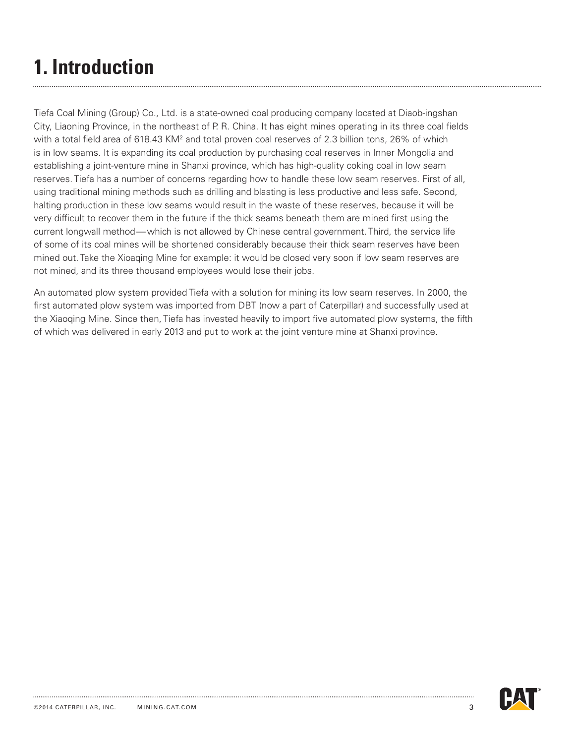# **1. Introduction**

Tiefa Coal Mining (Group) Co., Ltd. is a state-owned coal producing company located at Diaob-ingshan City, Liaoning Province, in the northeast of P. R. China. It has eight mines operating in its three coal fields with a total field area of 618.43 KM<sup>2</sup> and total proven coal reserves of 2.3 billion tons, 26% of which is in low seams. It is expanding its coal production by purchasing coal reserves in Inner Mongolia and establishing a joint-venture mine in Shanxi province, which has high-quality coking coal in low seam reserves. Tiefa has a number of concerns regarding how to handle these low seam reserves. First of all, using traditional mining methods such as drilling and blasting is less productive and less safe. Second, halting production in these low seams would result in the waste of these reserves, because it will be very difficult to recover them in the future if the thick seams beneath them are mined first using the current longwall method—which is not allowed by Chinese central government. Third, the service life of some of its coal mines will be shortened considerably because their thick seam reserves have been mined out. Take the Xioaqing Mine for example: it would be closed very soon if low seam reserves are not mined, and its three thousand employees would lose their jobs.

An automated plow system provided Tiefa with a solution for mining its low seam reserves. In 2000, the first automated plow system was imported from DBT (now a part of Caterpillar) and successfully used at the Xiaoqing Mine. Since then, Tiefa has invested heavily to import five automated plow systems, the fifth of which was delivered in early 2013 and put to work at the joint venture mine at Shanxi province.

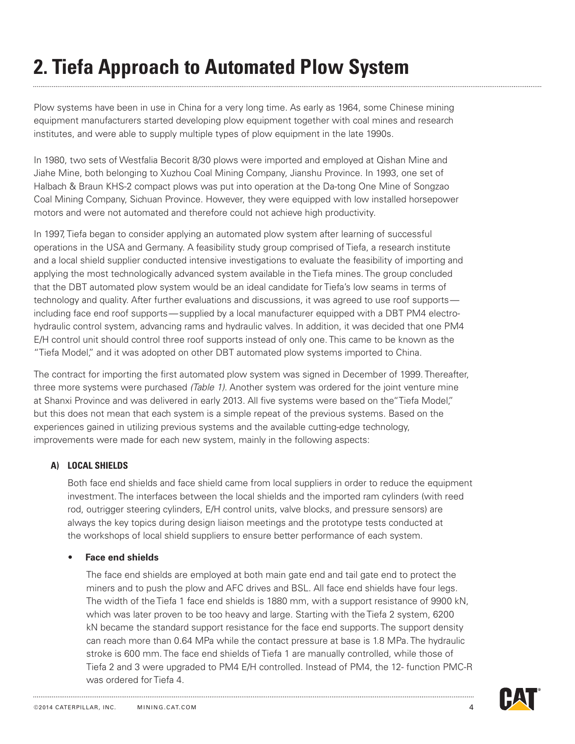# **2. Tiefa Approach to Automated Plow System**

Plow systems have been in use in China for a very long time. As early as 1964, some Chinese mining equipment manufacturers started developing plow equipment together with coal mines and research institutes, and were able to supply multiple types of plow equipment in the late 1990s.

In 1980, two sets of Westfalia Becorit 8/30 plows were imported and employed at Qishan Mine and Jiahe Mine, both belonging to Xuzhou Coal Mining Company, Jianshu Province. In 1993, one set of Halbach & Braun KHS-2 compact plows was put into operation at the Da-tong One Mine of Songzao Coal Mining Company, Sichuan Province. However, they were equipped with low installed horsepower motors and were not automated and therefore could not achieve high productivity.

In 1997, Tiefa began to consider applying an automated plow system after learning of successful operations in the USA and Germany. A feasibility study group comprised of Tiefa, a research institute and a local shield supplier conducted intensive investigations to evaluate the feasibility of importing and applying the most technologically advanced system available in the Tiefa mines. The group concluded that the DBT automated plow system would be an ideal candidate for Tiefa's low seams in terms of technology and quality. After further evaluations and discussions, it was agreed to use roof supports including face end roof supports—supplied by a local manufacturer equipped with a DBT PM4 electrohydraulic control system, advancing rams and hydraulic valves. In addition, it was decided that one PM4 E/H control unit should control three roof supports instead of only one. This came to be known as the "Tiefa Model," and it was adopted on other DBT automated plow systems imported to China.

The contract for importing the first automated plow system was signed in December of 1999. Thereafter, three more systems were purchased *(Table 1)*. Another system was ordered for the joint venture mine at Shanxi Province and was delivered in early 2013. All five systems were based on the"Tiefa Model," but this does not mean that each system is a simple repeat of the previous systems. Based on the experiences gained in utilizing previous systems and the available cutting-edge technology, improvements were made for each new system, mainly in the following aspects:

### **a) LOCAL SHIELDS**

 Both face end shields and face shield came from local suppliers in order to reduce the equipment investment. The interfaces between the local shields and the imported ram cylinders (with reed rod, outrigger steering cylinders, E/H control units, valve blocks, and pressure sensors) are always the key topics during design liaison meetings and the prototype tests conducted at the workshops of local shield suppliers to ensure better performance of each system.

### **• Face end shields**

The face end shields are employed at both main gate end and tail gate end to protect the miners and to push the plow and AFC drives and BSL. All face end shields have four legs. The width of the Tiefa 1 face end shields is 1880 mm, with a support resistance of 9900 kN, which was later proven to be too heavy and large. Starting with the Tiefa 2 system, 6200 kN became the standard support resistance for the face end supports. The support density can reach more than 0.64 MPa while the contact pressure at base is 1.8 MPa. The hydraulic stroke is 600 mm. The face end shields of Tiefa 1 are manually controlled, while those of Tiefa 2 and 3 were upgraded to PM4 E/H controlled. Instead of PM4, the 12- function PMC-R was ordered for Tiefa 4.

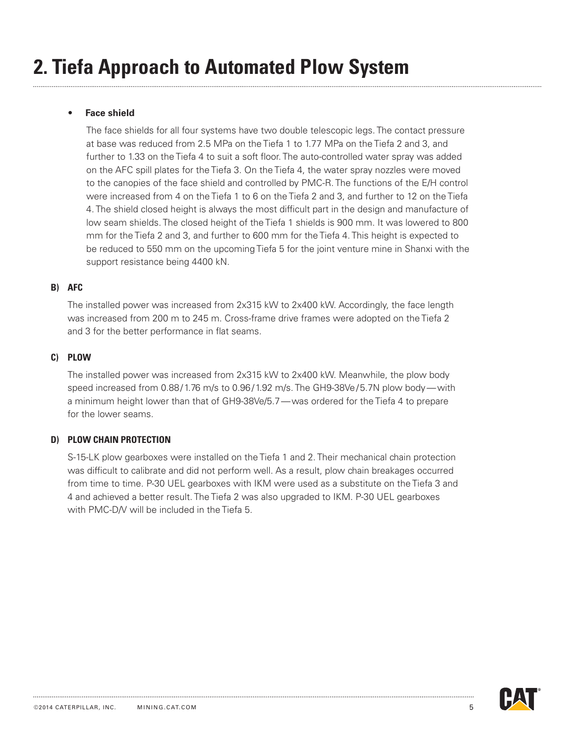### **• Face shield**

The face shields for all four systems have two double telescopic legs. The contact pressure at base was reduced from 2.5 MPa on the Tiefa 1 to 1.77 MPa on the Tiefa 2 and 3, and further to 1.33 on the Tiefa 4 to suit a soft floor. The auto-controlled water spray was added on the AFC spill plates for the Tiefa 3. On the Tiefa 4, the water spray nozzles were moved to the canopies of the face shield and controlled by PMC-R. The functions of the E/H control were increased from 4 on the Tiefa 1 to 6 on the Tiefa 2 and 3, and further to 12 on the Tiefa 4. The shield closed height is always the most difficult part in the design and manufacture of low seam shields. The closed height of the Tiefa 1 shields is 900 mm. It was lowered to 800 mm for the Tiefa 2 and 3, and further to 600 mm for the Tiefa 4. This height is expected to be reduced to 550 mm on the upcoming Tiefa 5 for the joint venture mine in Shanxi with the support resistance being 4400 kN.

### **b) AFC**

 The installed power was increased from 2x315 kW to 2x400 kW. Accordingly, the face length was increased from 200 m to 245 m. Cross-frame drive frames were adopted on the Tiefa 2 and 3 for the better performance in flat seams.

### **c) Plow**

 The installed power was increased from 2x315 kW to 2x400 kW. Meanwhile, the plow body speed increased from 0.88/1.76 m/s to 0.96/1.92 m/s. The GH9-38Ve/5.7N plow body—with a minimum height lower than that of GH9-38Ve/5.7—was ordered for the Tiefa 4 to prepare for the lower seams.

### **d) Plow chain protection**

 S-15-LK plow gearboxes were installed on the Tiefa 1 and 2. Their mechanical chain protection was difficult to calibrate and did not perform well. As a result, plow chain breakages occurred from time to time. P-30 UEL gearboxes with IKM were used as a substitute on the Tiefa 3 and 4 and achieved a better result. The Tiefa 2 was also upgraded to IKM. P-30 UEL gearboxes with PMC-D/V will be included in the Tiefa 5.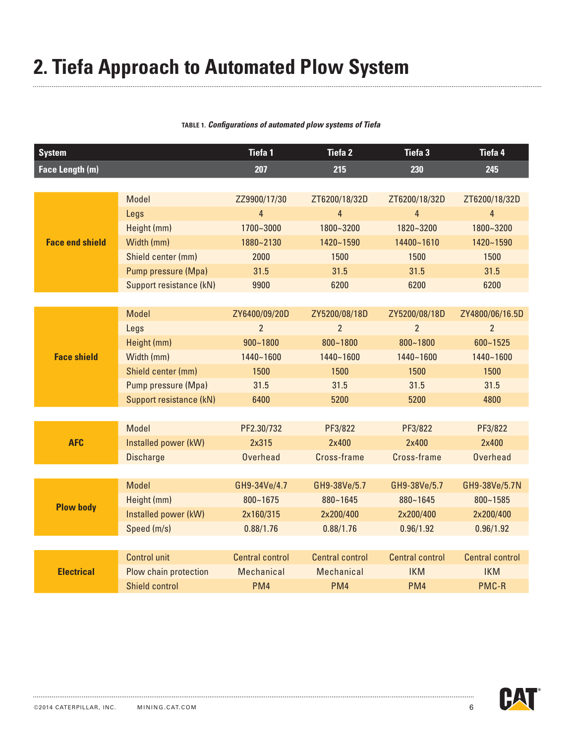# **2. Tiefa Approach to Automated Plow System**

### **Table 1.** *Configurations of automated plow systems of Tiefa*

| <b>System</b>          |                         | <b>Tiefa1</b>          | <b>Tiefa 2</b>         | <b>Tiefa 3</b>         | Tiefa 4                |
|------------------------|-------------------------|------------------------|------------------------|------------------------|------------------------|
| Face Length (m)        |                         | 207                    | 215                    | 230                    | 245                    |
|                        |                         |                        |                        |                        |                        |
|                        | Model                   | ZZ9900/17/30           | ZT6200/18/32D          | ZT6200/18/32D          | ZT6200/18/32D          |
|                        | Legs                    | $\overline{4}$         | $\overline{4}$         | $\overline{4}$         | 4                      |
|                        | Height (mm)             | 1700~3000              | 1800~3200              | 1820~3200              | 1800~3200              |
| <b>Face end shield</b> | Width (mm)              | 1880~2130              | 1420~1590              | 14400~1610             | 1420~1590              |
|                        | Shield center (mm)      | 2000                   | 1500                   | 1500                   | 1500                   |
|                        | Pump pressure (Mpa)     | 31.5                   | 31.5                   | 31.5                   | 31.5                   |
|                        | Support resistance (kN) | 9900                   | 6200                   | 6200                   | 6200                   |
|                        |                         |                        |                        |                        |                        |
|                        | <b>Model</b>            | ZY6400/09/20D          | ZY5200/08/18D          | ZY5200/08/18D          | ZY4800/06/16.5D        |
|                        | Legs                    | $\overline{2}$         | $\overline{2}$         | $\overline{2}$         | $\overline{2}$         |
| <b>Face shield</b>     | Height (mm)             | $900 - 1800$           | 800~1800               | 800~1800               | $600 - 1525$           |
|                        | Width (mm)              | 1440~1600              | 1440~1600              | 1440~1600              | 1440~1600              |
|                        | Shield center (mm)      | 1500                   | 1500                   | 1500                   | 1500                   |
|                        | Pump pressure (Mpa)     | 31.5                   | 31.5                   | 31.5                   | 31.5                   |
|                        | Support resistance (kN) | 6400                   | 5200                   | 5200                   | 4800                   |
|                        |                         |                        |                        |                        |                        |
|                        | Model                   | PF2.30/732             | PF3/822                | PF3/822                | PF3/822                |
| <b>AFC</b>             | Installed power (kW)    | 2x315                  | 2x400                  | 2x400                  | 2x400                  |
|                        | <b>Discharge</b>        | <b>Overhead</b>        | Cross-frame            | Cross-frame            | <b>Overhead</b>        |
|                        |                         |                        |                        |                        |                        |
| <b>Plow body</b>       | <b>Model</b>            | GH9-34Ve/4.7           | GH9-38Ve/5.7           | GH9-38Ve/5.7           | GH9-38Ve/5.7N          |
|                        | Height (mm)             | $800 - 1675$           | $880 - 1645$           | 880~1645               | $800 - 1585$           |
|                        | Installed power (kW)    | 2x160/315              | 2x200/400              | 2x200/400              | 2x200/400              |
|                        | Speed (m/s)             | 0.88/1.76              | 0.88/1.76              | 0.96/1.92              | 0.96/1.92              |
|                        |                         |                        |                        |                        |                        |
| <b>Electrical</b>      | <b>Control unit</b>     | <b>Central control</b> | <b>Central control</b> | <b>Central control</b> | <b>Central control</b> |
|                        | Plow chain protection   | Mechanical             | <b>Mechanical</b>      | <b>IKM</b>             | <b>IKM</b>             |
|                        | <b>Shield control</b>   | PM <sub>4</sub>        | PM <sub>4</sub>        | PM <sub>4</sub>        | PMC-R                  |

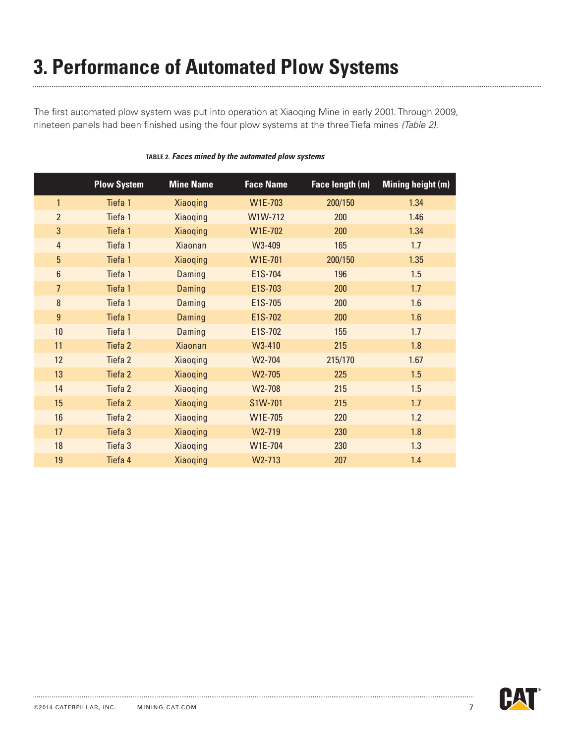# **3. Performance of Automated Plow Systems**

The first automated plow system was put into operation at Xiaoqing Mine in early 2001. Through 2009, nineteen panels had been finished using the four plow systems at the three Tiefa mines *(Table 2)*.

|                  | <b>Plow System</b> | <b>Mine Name</b> | <b>Face Name</b> | Face length (m) | Mining height (m) |
|------------------|--------------------|------------------|------------------|-----------------|-------------------|
| $\mathbf{1}$     | Tiefa 1            | <b>Xiaoqing</b>  | W1E-703          | 200/150         | 1.34              |
| $\overline{2}$   | Tiefa 1            | Xiaoqing         | W1W-712          | 200             | 1.46              |
| 3                | Tiefa 1            | <b>Xiaoqing</b>  | W1E-702          | 200             | 1.34              |
| $\overline{4}$   | Tiefa 1            | <b>Xiaonan</b>   | W3-409           | 165             | 1.7               |
| $\overline{5}$   | Tiefa 1            | <b>Xiaoqing</b>  | W1E-701          | 200/150         | 1.35              |
| $\boldsymbol{6}$ | Tiefa 1            | Daming           | E1S-704          | 196             | 1.5               |
| $\overline{7}$   | Tiefa 1            | Daming           | E1S-703          | 200             | 1.7               |
| $\bf 8$          | Tiefa 1            | Daming           | E1S-705          | 200             | 1.6               |
| $\boldsymbol{9}$ | Tiefa 1            | Daming           | E1S-702          | 200             | 1.6               |
| 10               | Tiefa 1            | Daming           | E1S-702          | 155             | 1.7               |
| 11               | Tiefa <sub>2</sub> | <b>Xiaonan</b>   | W3-410           | 215             | 1.8               |
| 12               | Tiefa <sub>2</sub> | Xiaoqing         | W2-704           | 215/170         | 1.67              |
| 13               | Tiefa <sub>2</sub> | Xiaoqing         | W2-705           | 225             | 1.5               |
| 14               | Tiefa <sub>2</sub> | Xiaoqing         | W2-708           | 215             | 1.5               |
| 15               | Tiefa <sub>2</sub> | <b>Xiaoqing</b>  | S1W-701          | 215             | 1.7               |
| 16               | Tiefa <sub>2</sub> | Xiaoqing         | W1E-705          | 220             | 1.2               |
| 17               | Tiefa 3            | <b>Xiaoqing</b>  | W2-719           | 230             | 1.8               |
| 18               | Tiefa 3            | Xiaoqing         | W1E-704          | 230             | 1.3               |
| 19               | Tiefa 4            | <b>Xiaoqing</b>  | W2-713           | 207             | 1.4               |

#### **Table 2.** *Faces mined by the automated plow systems*

. . . . . . .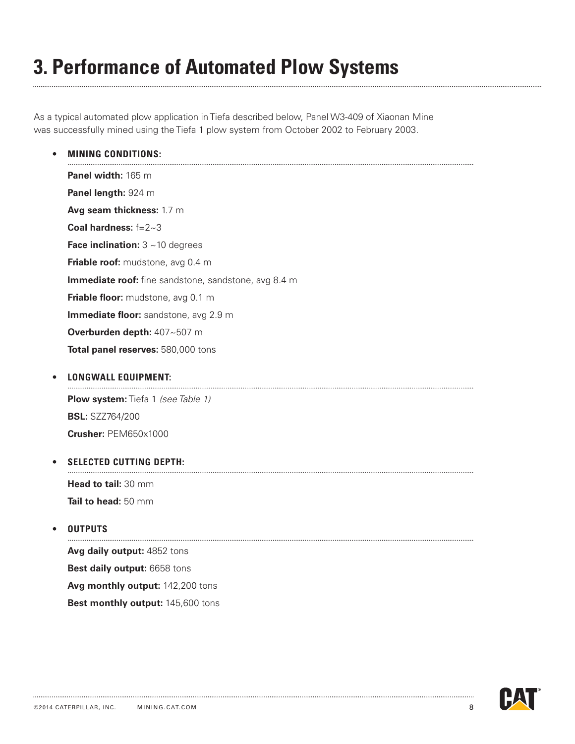# **3. Performance of Automated Plow Systems**

As a typical automated plow application in Tiefa described below, Panel W3-409 of Xiaonan Mine was successfully mined using the Tiefa 1 plow system from October 2002 to February 2003.

**• Mining conditions:**

**Panel width:** 165 m **Panel length:** 924 m **Avg seam thickness:** 1.7 m **Coal hardness:** f=2~3 **Face inclination:**  $3 \sim 10$  degrees **Friable roof:** mudstone, avg 0.4 m **Immediate roof:** fine sandstone, sandstone, avg 8.4 m **Friable floor:** mudstone, avg 0.1 m **Immediate floor:** sandstone, avg 2.9 m **Overburden depth:** 407~507 m **Total panel reserves:** 580,000 tons

## **• Longwall equipment:**

**Plow system:** Tiefa 1 *(see Table 1)* **BSL:** SZZ764/200 **Crusher:** PEM650x1000

#### **• Selected cutting depth:**

**Head to tail:** 30 mm **Tail to head:** 50 mm

### **• Outputs**

**Avg daily output:** 4852 tons **Best daily output:** 6658 tons **Avg monthly output:** 142,200 tons **Best monthly output:** 145,600 tons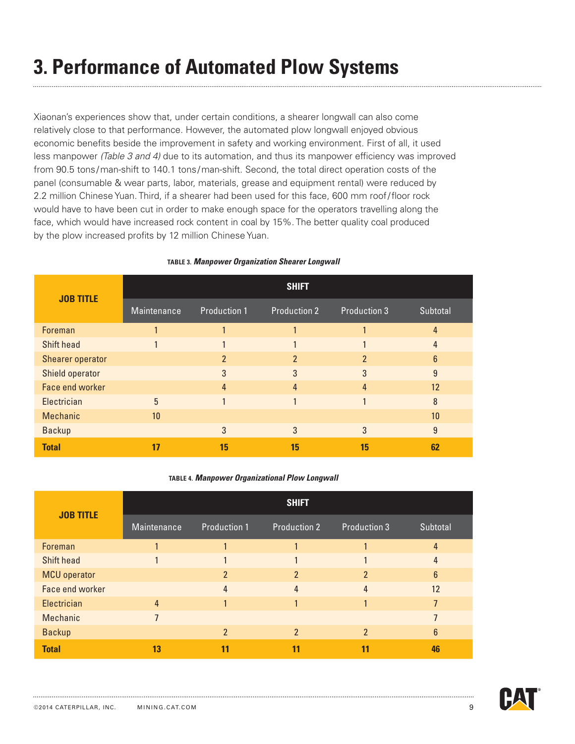# **3. Performance of Automated Plow Systems**

Xiaonan's experiences show that, under certain conditions, a shearer longwall can also come relatively close to that performance. However, the automated plow longwall enjoyed obvious economic benefits beside the improvement in safety and working environment. First of all, it used less manpower *(Table 3 and 4)* due to its automation, and thus its manpower efficiency was improved from 90.5 tons/man-shift to 140.1 tons /man-shift. Second, the total direct operation costs of the panel (consumable & wear parts, labor, materials, grease and equipment rental) were reduced by 2.2 million Chinese Yuan. Third, if a shearer had been used for this face, 600 mm roof/floor rock would have to have been cut in order to make enough space for the operators travelling along the face, which would have increased rock content in coal by 15%. The better quality coal produced by the plow increased profits by 12 million Chinese Yuan.

| <b>JOB TITLE</b>  | <b>SHIFT</b> |                     |                     |                     |                 |  |
|-------------------|--------------|---------------------|---------------------|---------------------|-----------------|--|
|                   | Maintenance  | <b>Production 1</b> | <b>Production 2</b> | <b>Production 3</b> | Subtotal        |  |
| Foreman           |              |                     |                     |                     | 4               |  |
| <b>Shift head</b> |              |                     |                     |                     |                 |  |
| Shearer operator  |              | $\overline{2}$      | っ                   | C                   | $6\overline{6}$ |  |
| Shield operator   |              | 3                   | 3                   | 3                   | 9               |  |
| Face end worker   |              | 4                   | 4                   |                     | 12              |  |
| Electrician       | 5            |                     |                     |                     | 8               |  |
| <b>Mechanic</b>   | 10           |                     |                     |                     | 10              |  |
| <b>Backup</b>     |              | 3                   | 3                   | 3                   | 9               |  |
| <b>Total</b>      | 17           | 15                  | 15                  | 15                  | 62              |  |

#### **Table 3.** *Manpower Organization Shearer Longwall*

#### **Table 4.** *Manpower Organizational Plow Longwall*

| <b>JOB TITLE</b>    | <b>SHIFT</b>   |                     |                     |                     |                |  |
|---------------------|----------------|---------------------|---------------------|---------------------|----------------|--|
|                     | Maintenance    | <b>Production 1</b> | <b>Production 2</b> | <b>Production 3</b> | Subtotal       |  |
| Foreman             |                |                     |                     |                     | $\overline{4}$ |  |
| <b>Shift head</b>   |                |                     |                     |                     | 4              |  |
| <b>MCU</b> operator |                | $\overline{2}$      | $\overline{2}$      | 2                   | $6\phantom{1}$ |  |
| Face end worker     |                | 4                   | 4                   | 4                   | 12             |  |
| Electrician         | 4              |                     |                     |                     |                |  |
| <b>Mechanic</b>     | $\overline{7}$ |                     |                     |                     |                |  |
| <b>Backup</b>       |                | $\overline{2}$      | $\overline{2}$      | $\overline{2}$      | $6\phantom{1}$ |  |
| <b>Total</b>        | 13             | 11                  | 11                  |                     | 46             |  |

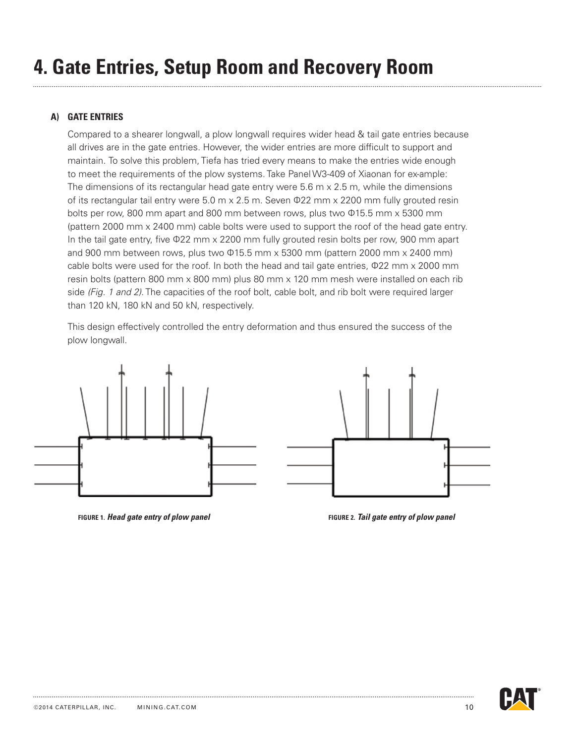### **a) Gate entries**

 Compared to a shearer longwall, a plow longwall requires wider head & tail gate entries because all drives are in the gate entries. However, the wider entries are more difficult to support and maintain. To solve this problem, Tiefa has tried every means to make the entries wide enough to meet the requirements of the plow systems. Take Panel W3-409 of Xiaonan for ex-ample: The dimensions of its rectangular head gate entry were  $5.6 \text{ m} \times 2.5 \text{ m}$ , while the dimensions of its rectangular tail entry were 5.0 m x 2.5 m. Seven Ф22 mm x 2200 mm fully grouted resin bolts per row, 800 mm apart and 800 mm between rows, plus two Ф15.5 mm x 5300 mm (pattern 2000 mm x 2400 mm) cable bolts were used to support the roof of the head gate entry. In the tail gate entry, five Ф22 mm x 2200 mm fully grouted resin bolts per row, 900 mm apart and 900 mm between rows, plus two Ф15.5 mm x 5300 mm (pattern 2000 mm x 2400 mm) cable bolts were used for the roof. In both the head and tail gate entries, Ф22 mm x 2000 mm resin bolts (pattern 800 mm x 800 mm) plus 80 mm x 120 mm mesh were installed on each rib side *(Fig. 1 and 2)*. The capacities of the roof bolt, cable bolt, and rib bolt were required larger than 120 kN, 180 kN and 50 kN, respectively.

This design effectively controlled the entry deformation and thus ensured the success of the plow longwall.



**figure 1.** *Head gate entry of plow panel* **figure 2.** *Tail gate entry of plow panel*

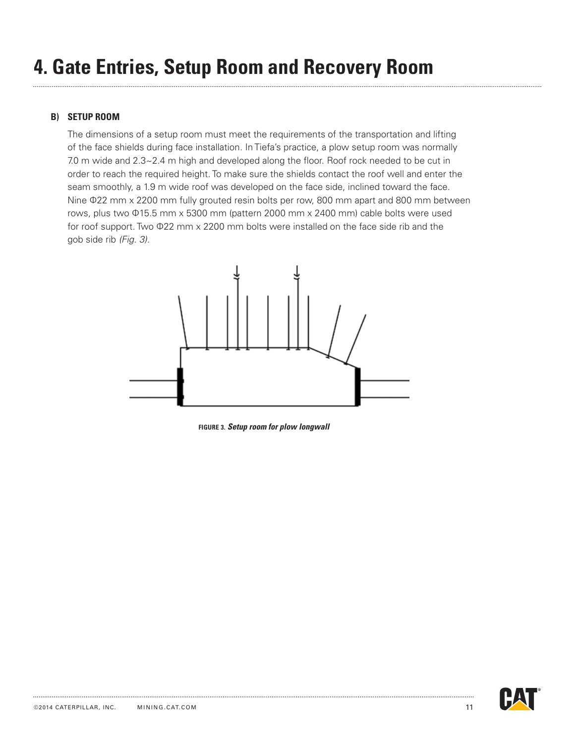# **4. Gate Entries, Setup Room and Recovery Room**

### **B) Setup Room**

 The dimensions of a setup room must meet the requirements of the transportation and lifting of the face shields during face installation. In Tiefa's practice, a plow setup room was normally 7.0 m wide and 2.3~2.4 m high and developed along the floor. Roof rock needed to be cut in order to reach the required height. To make sure the shields contact the roof well and enter the seam smoothly, a 1.9 m wide roof was developed on the face side, inclined toward the face. Nine Ф22 mm x 2200 mm fully grouted resin bolts per row, 800 mm apart and 800 mm between rows, plus two Ф15.5 mm x 5300 mm (pattern 2000 mm x 2400 mm) cable bolts were used for roof support. Two Ф22 mm x 2200 mm bolts were installed on the face side rib and the gob side rib *(Fig. 3).*



**figure 3.** *Setup room for plow longwall*

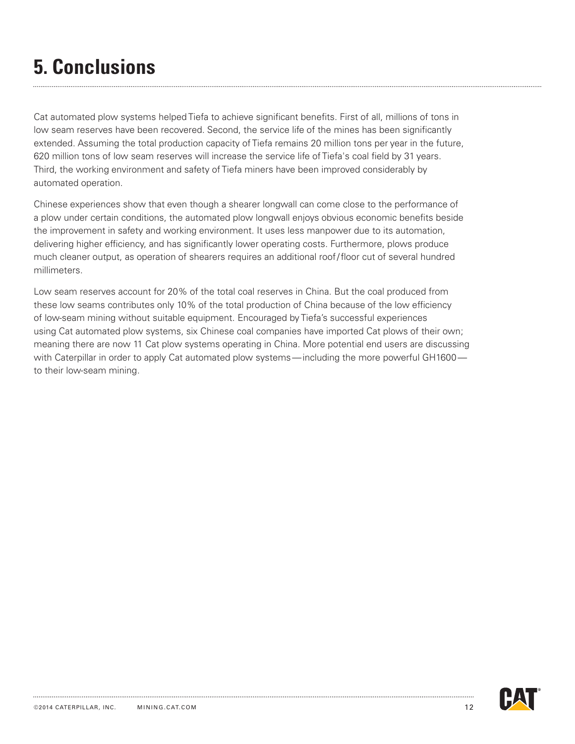# **5. Conclusions**

Cat automated plow systems helped Tiefa to achieve significant benefits. First of all, millions of tons in low seam reserves have been recovered. Second, the service life of the mines has been significantly extended. Assuming the total production capacity of Tiefa remains 20 million tons per year in the future, 620 million tons of low seam reserves will increase the service life of Tiefa's coal field by 31 years. Third, the working environment and safety of Tiefa miners have been improved considerably by automated operation.

Chinese experiences show that even though a shearer longwall can come close to the performance of a plow under certain conditions, the automated plow longwall enjoys obvious economic benefits beside the improvement in safety and working environment. It uses less manpower due to its automation, delivering higher efficiency, and has significantly lower operating costs. Furthermore, plows produce much cleaner output, as operation of shearers requires an additional roof/floor cut of several hundred millimeters.

Low seam reserves account for 20% of the total coal reserves in China. But the coal produced from these low seams contributes only 10% of the total production of China because of the low efficiency of low-seam mining without suitable equipment. Encouraged by Tiefa's successful experiences using Cat automated plow systems, six Chinese coal companies have imported Cat plows of their own; meaning there are now 11 Cat plow systems operating in China. More potential end users are discussing with Caterpillar in order to apply Cat automated plow systems—including the more powerful GH1600 to their low-seam mining.